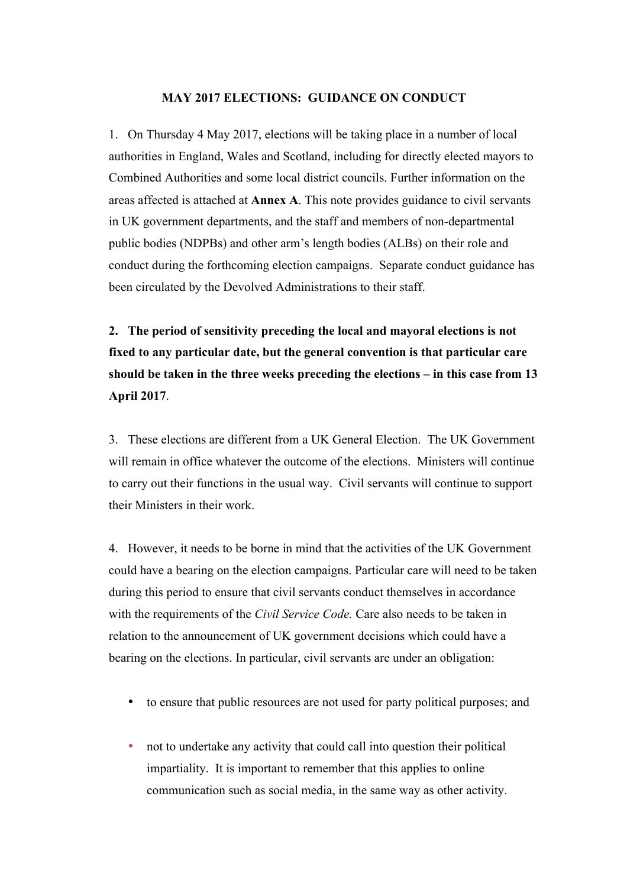#### **MAY 2017 ELECTIONS: GUIDANCE ON CONDUCT**

1. On Thursday 4 May 2017, elections will be taking place in a number of local authorities in England, Wales and Scotland, including for directly elected mayors to Combined Authorities and some local district councils. Further information on the areas affected is attached at **Annex A**. This note provides guidance to civil servants in UK government departments, and the staff and members of non-departmental public bodies (NDPBs) and other arm's length bodies (ALBs) on their role and conduct during the forthcoming election campaigns. Separate conduct guidance has been circulated by the Devolved Administrations to their staff.

**2. The period of sensitivity preceding the local and mayoral elections is not fixed to any particular date, but the general convention is that particular care should be taken in the three weeks preceding the elections – in this case from 13 April 2017**.

3. These elections are different from a UK General Election. The UK Government will remain in office whatever the outcome of the elections. Ministers will continue to carry out their functions in the usual way. Civil servants will continue to support their Ministers in their work.

4. However, it needs to be borne in mind that the activities of the UK Government could have a bearing on the election campaigns. Particular care will need to be taken during this period to ensure that civil servants conduct themselves in accordance with the requirements of the *Civil Service Code.* Care also needs to be taken in relation to the announcement of UK government decisions which could have a bearing on the elections. In particular, civil servants are under an obligation:

- to ensure that public resources are not used for party political purposes; and
- not to undertake any activity that could call into question their political impartiality. It is important to remember that this applies to online communication such as social media, in the same way as other activity.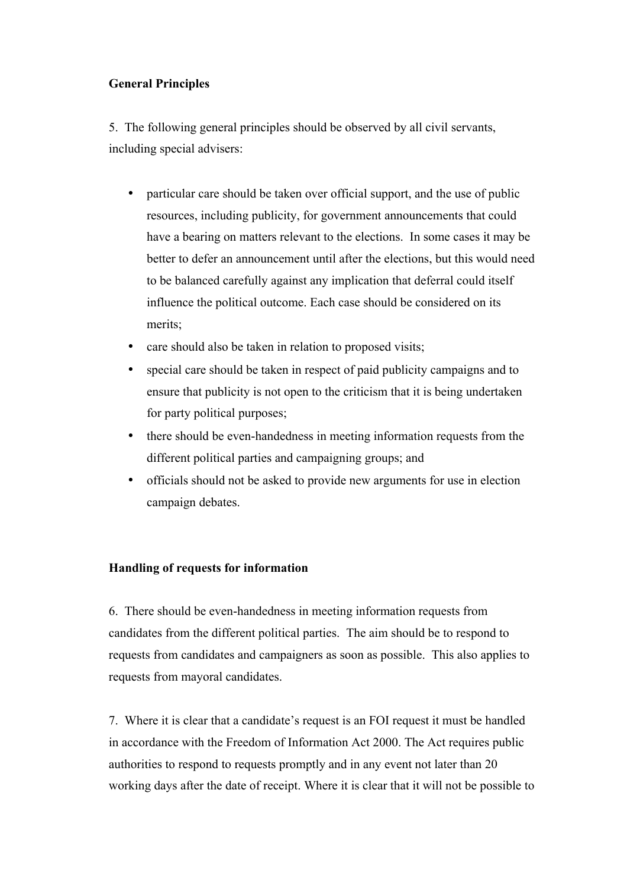# **General Principles**

5. The following general principles should be observed by all civil servants, including special advisers:

- particular care should be taken over official support, and the use of public resources, including publicity, for government announcements that could have a bearing on matters relevant to the elections. In some cases it may be better to defer an announcement until after the elections, but this would need to be balanced carefully against any implication that deferral could itself influence the political outcome. Each case should be considered on its merits;
- care should also be taken in relation to proposed visits;
- special care should be taken in respect of paid publicity campaigns and to ensure that publicity is not open to the criticism that it is being undertaken for party political purposes;
- there should be even-handedness in meeting information requests from the different political parties and campaigning groups; and
- officials should not be asked to provide new arguments for use in election campaign debates.

## **Handling of requests for information**

6. There should be even-handedness in meeting information requests from candidates from the different political parties. The aim should be to respond to requests from candidates and campaigners as soon as possible. This also applies to requests from mayoral candidates.

7. Where it is clear that a candidate's request is an FOI request it must be handled in accordance with the Freedom of Information Act 2000. The Act requires public authorities to respond to requests promptly and in any event not later than 20 working days after the date of receipt. Where it is clear that it will not be possible to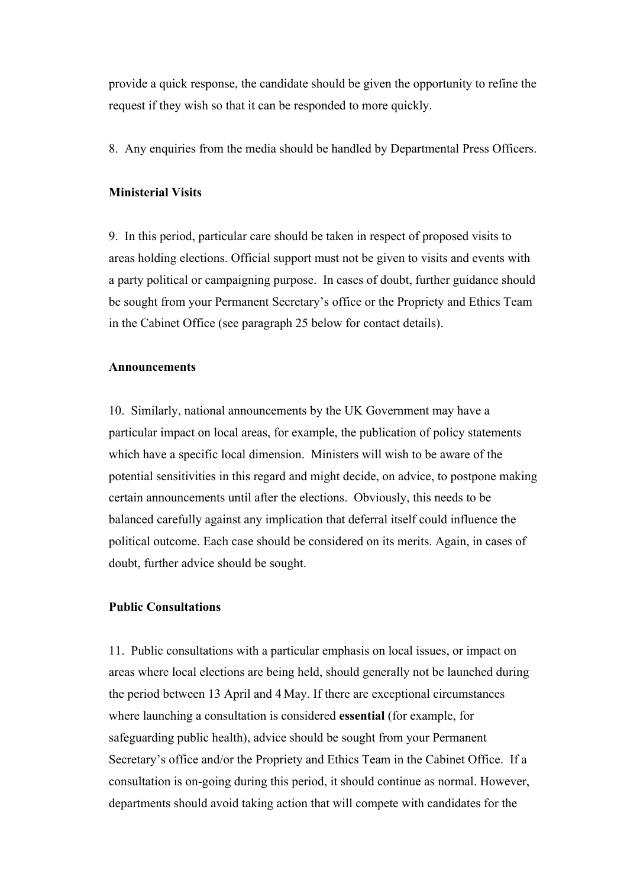provide a quick response, the candidate should be given the opportunity to refine the request if they wish so that it can be responded to more quickly.

8. Any enquiries from the media should be handled by Departmental Press Officers.

### **Ministerial Visits**

9. In this period, particular care should be taken in respect of proposed visits to areas holding elections. Official support must not be given to visits and events with a party political or campaigning purpose. In cases of doubt, further guidance should be sought from your Permanent Secretary's office or the Propriety and Ethics Team in the Cabinet Office (see paragraph 25 below for contact details).

#### **Announcements**

10. Similarly, national announcements by the UK Government may have a particular impact on local areas, for example, the publication of policy statements which have a specific local dimension. Ministers will wish to be aware of the potential sensitivities in this regard and might decide, on advice, to postpone making certain announcements until after the elections. Obviously, this needs to be balanced carefully against any implication that deferral itself could influence the political outcome. Each case should be considered on its merits. Again, in cases of doubt, further advice should be sought.

## **Public Consultations**

11. Public consultations with a particular emphasis on local issues, or impact on areas where local elections are being held, should generally not be launched during the period between 13 April and 4 May. If there are exceptional circumstances where launching a consultation is considered **essential** (for example, for safeguarding public health), advice should be sought from your Permanent Secretary's office and/or the Propriety and Ethics Team in the Cabinet Office. If a consultation is on-going during this period, it should continue as normal. However, departments should avoid taking action that will compete with candidates for the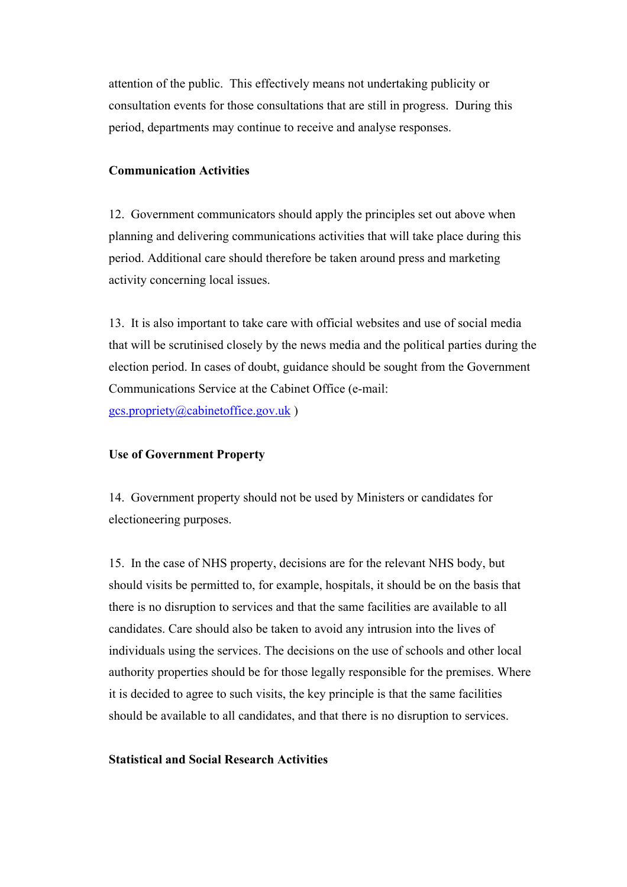attention of the public. This effectively means not undertaking publicity or consultation events for those consultations that are still in progress. During this period, departments may continue to receive and analyse responses.

#### **Communication Activities**

12. Government communicators should apply the principles set out above when planning and delivering communications activities that will take place during this period. Additional care should therefore be taken around press and marketing activity concerning local issues.

13. It is also important to take care with official websites and use of social media that will be scrutinised closely by the news media and the political parties during the election period. In cases of doubt, guidance should be sought from the Government Communications Service at the Cabinet Office (e-mail: gcs.propriety@cabinetoffice.gov.uk )

### **Use of Government Property**

14. Government property should not be used by Ministers or candidates for electioneering purposes.

15. In the case of NHS property, decisions are for the relevant NHS body, but should visits be permitted to, for example, hospitals, it should be on the basis that there is no disruption to services and that the same facilities are available to all candidates. Care should also be taken to avoid any intrusion into the lives of individuals using the services. The decisions on the use of schools and other local authority properties should be for those legally responsible for the premises. Where it is decided to agree to such visits, the key principle is that the same facilities should be available to all candidates, and that there is no disruption to services.

### **Statistical and Social Research Activities**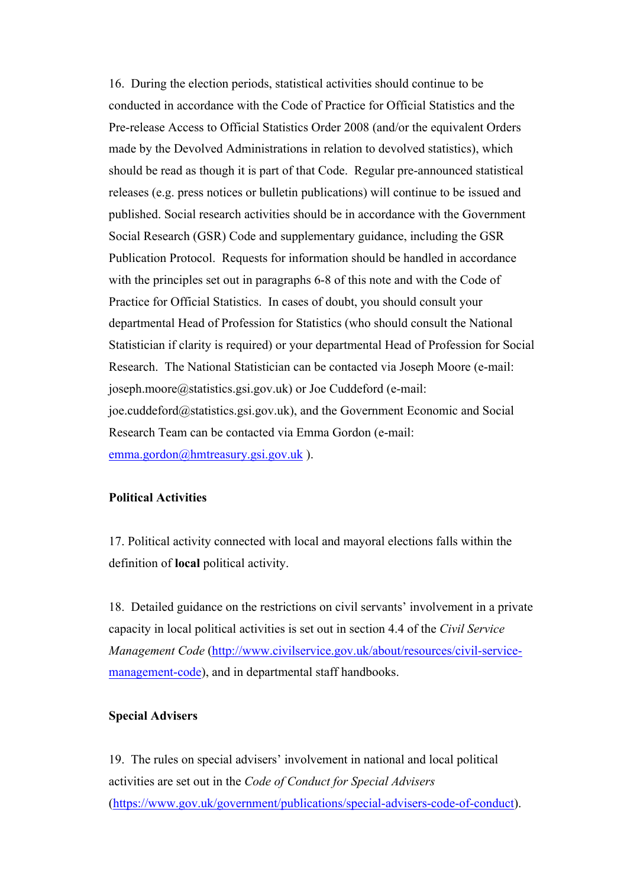16. During the election periods, statistical activities should continue to be conducted in accordance with the Code of Practice for Official Statistics and the Pre-release Access to Official Statistics Order 2008 (and/or the equivalent Orders made by the Devolved Administrations in relation to devolved statistics), which should be read as though it is part of that Code. Regular pre-announced statistical releases (e.g. press notices or bulletin publications) will continue to be issued and published. Social research activities should be in accordance with the Government Social Research (GSR) Code and supplementary guidance, including the GSR Publication Protocol. Requests for information should be handled in accordance with the principles set out in paragraphs 6-8 of this note and with the Code of Practice for Official Statistics. In cases of doubt, you should consult your departmental Head of Profession for Statistics (who should consult the National Statistician if clarity is required) or your departmental Head of Profession for Social Research. The National Statistician can be contacted via Joseph Moore (e-mail: joseph.moore@statistics.gsi.gov.uk) or Joe Cuddeford (e-mail: joe.cuddeford@statistics.gsi.gov.uk), and the Government Economic and Social Research Team can be contacted via Emma Gordon (e-mail: emma.gordon@hmtreasury.gsi.gov.uk ).

### **Political Activities**

17. Political activity connected with local and mayoral elections falls within the definition of **local** political activity.

18. Detailed guidance on the restrictions on civil servants' involvement in a private capacity in local political activities is set out in section 4.4 of the *Civil Service Management Code* (http://www.civilservice.gov.uk/about/resources/civil-servicemanagement-code), and in departmental staff handbooks.

### **Special Advisers**

19. The rules on special advisers' involvement in national and local political activities are set out in the *Code of Conduct for Special Advisers* (https://www.gov.uk/government/publications/special-advisers-code-of-conduct).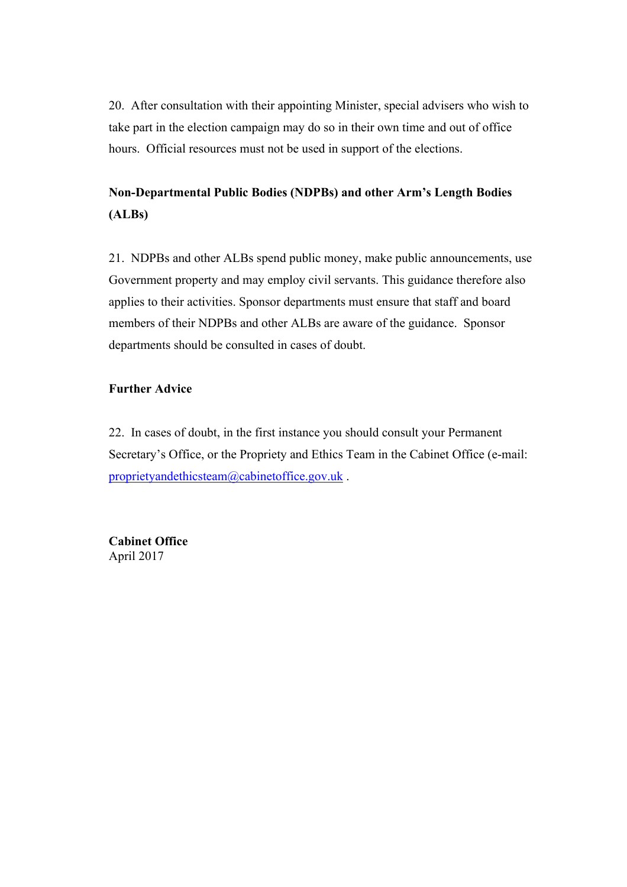20. After consultation with their appointing Minister, special advisers who wish to take part in the election campaign may do so in their own time and out of office hours. Official resources must not be used in support of the elections.

# **Non-Departmental Public Bodies (NDPBs) and other Arm's Length Bodies (ALBs)**

21. NDPBs and other ALBs spend public money, make public announcements, use Government property and may employ civil servants. This guidance therefore also applies to their activities. Sponsor departments must ensure that staff and board members of their NDPBs and other ALBs are aware of the guidance. Sponsor departments should be consulted in cases of doubt.

# **Further Advice**

22. In cases of doubt, in the first instance you should consult your Permanent Secretary's Office, or the Propriety and Ethics Team in the Cabinet Office (e-mail: proprietyandethicsteam@cabinetoffice.gov.uk .

**Cabinet Office** April 2017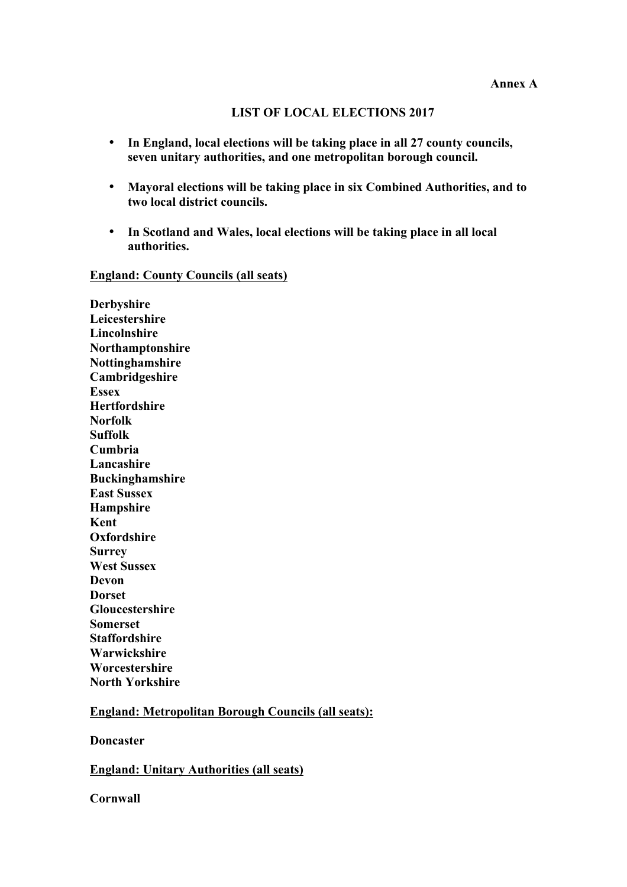#### **LIST OF LOCAL ELECTIONS 2017**

- **In England, local elections will be taking place in all 27 county councils, seven unitary authorities, and one metropolitan borough council.**
- **Mayoral elections will be taking place in six Combined Authorities, and to two local district councils.**
- **In Scotland and Wales, local elections will be taking place in all local authorities.**

#### **England: County Councils (all seats)**

**Derbyshire Leicestershire Lincolnshire Northamptonshire Nottinghamshire Cambridgeshire Essex Hertfordshire Norfolk Suffolk Cumbria Lancashire Buckinghamshire East Sussex Hampshire Kent Oxfordshire Surrey West Sussex Devon Dorset Gloucestershire Somerset Staffordshire Warwickshire Worcestershire North Yorkshire**

### **England: Metropolitan Borough Councils (all seats):**

**Doncaster**

**England: Unitary Authorities (all seats)**

**Cornwall**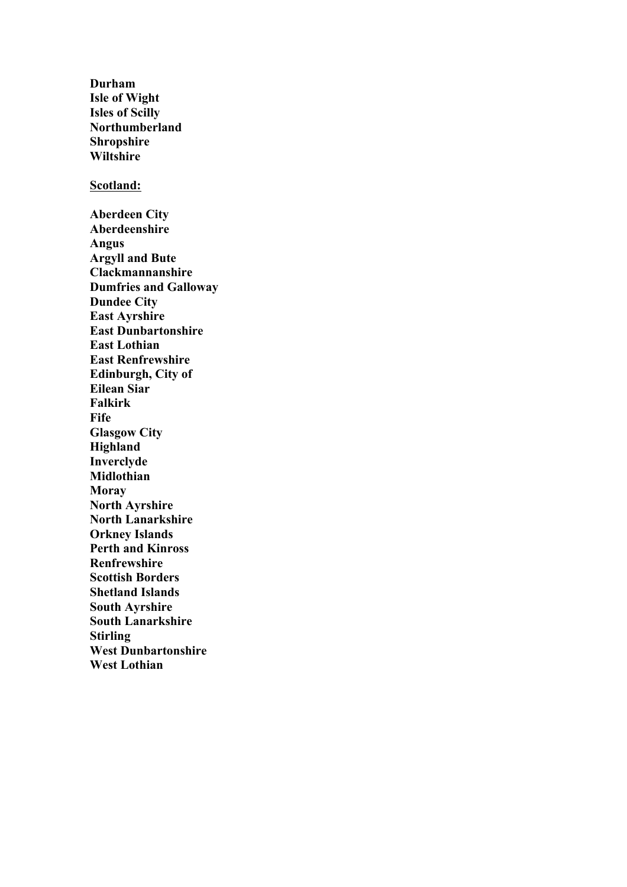**Durham Isle of Wight Isles of Scilly Northumberland Shropshire Wiltshire Scotland: Aberdeen City Aberdeenshire Angus Argyll and Bute Clackmannanshire Dumfries and Galloway Dundee City East Ayrshire East Dunbartonshire East Lothian East Renfrewshire Edinburgh, City of Eilean Siar Falkirk Fife Glasgow City Highland Inverclyde Midlothian Moray North Ayrshire North Lanarkshire Orkney Islands Perth and Kinross Renfrewshire Scottish Borders Shetland Islands South Ayrshire South Lanarkshire Stirling West Dunbartonshire West Lothian**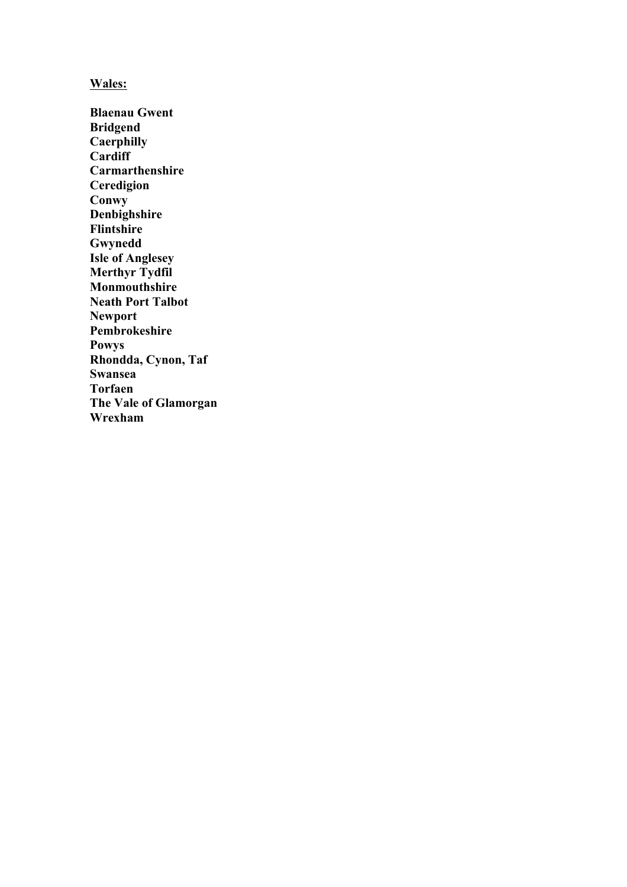## **Wales:**

**Blaenau Gwent Bridgend Caerphilly Cardiff Carmarthenshire Ceredigion Conwy Denbighshire Flintshire Gwynedd Isle of Anglesey Merthyr Tydfil Monmouthshire Neath Port Talbot Newport Pembrokeshire Powys Rhondda, Cynon, Taf Swansea Torfaen The Vale of Glamorgan Wrexham**